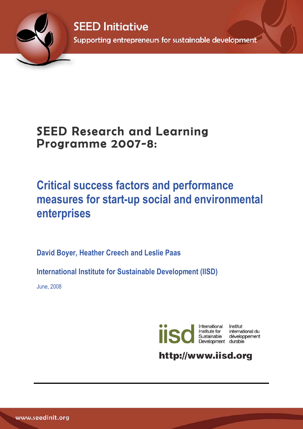

**SEED Initiative** Supporting entrepreneurs for sustainable development

# SEED Research and Learning Programme 2007-8:

# **Critical success factors and performance measures for start-up social and environmental enterprises**

**David Boyer, Heather Creech and Leslie Paas**

**International Institute for Sustainable Development (IISD)**

June, 2008



http://www.iisd.org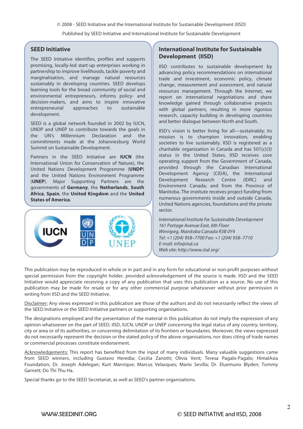© 2008 - SEED Initiative and the International Institute for Sustainable Development (IISD)

Published by SEED Initiative and International Institute for Sustainable Development

#### **SEED Initiative**

The SEED Initiative identifies, profiles and supports promising, locally-led start-up enterprises working in partnership to improve livelihoods, tackle poverty and marginalisation, and manage natural resources sustainably in developing countries. SEED develops learning tools for the broad community of social and environmental entrepreneurs, informs policy- and decision-makers, and aims to inspire innovative entrepreneurial approaches to sustainable development.

SEED is a global network founded in 2002 by IUCN, UNDP and UNEP to contribute towards the goals in the UN's Millennium Declaration and the commitments made at the Johannesburg World Summit on Sustainable Development.

Partners in the SEED Initiative are **IUCN** (the International Union for Conservation of Nature), the United Nations Development Programme (**UNDP**) and the United Nations Environment Programme (**UNEP**). Major Supporting Partners are the governments of **Germany**, the **Netherlands**, **South Africa**, **Spain**, the **United Kingdom** and the **United States of America**.



#### **International Institute for Sustainable Development (IISD)**

IISD contributes to sustainable development by advancing policy recommendations on international trade and investment, economic policy, climate change, measurement and assessment, and natural resources management. Through the Internet, we report on international negotiations and share knowledge gained through collaborative projects with global partners, resulting in more rigorous research, capacity building in developing countries and better dialogue between North and South.

IISD's vision is better living for all—sustainably; its mission is to champion innovation, enabling societies to live sustainably. IISD is registered as a charitable organization in Canada and has 501(c)(3) status in the United States. IISD receives core operating support from the Government of Canada, provided through the Canadian International Development Agency (CIDA), the International Development Research Centre (IDRC) and Environment Canada; and from the Province of Manitoba. The institute receives project funding from numerous governments inside and outside Canada, United Nations agencies, foundations and the private sector.

International Institute for Sustainable Development 161 Portage Avenue East, 6th Floor Winnipeg, Manitoba Canada R3B 0Y4 Tel: +1 (204) 958–7700 Fax: +1 (204) 958–7710 E-mail: info@iisd.ca Web site: http://www.iisd.org/

This publication may be reproduced in whole or in part and in any form for educational or non-profit purposes without special permission from the copyright holder, provided acknowledgement of the source is made. IISD and the SEED Initiative would appreciate receiving a copy of any publication that uses this publication as a source. No use of this publication may be made for resale or for any other commercial purpose whatsoever without prior permission in writing from IISD and the SEED Initiative.

Disclaimer: Any views expressed in this publication are those of the authors and do not necessarily reflect the views of the SEED Initiative or the SEED Initiative partners or supporting organisations.

The designations employed and the presentation of the material in this publication do not imply the expression of any opinion whatsoever on the part of SEED, IISD, IUCN, UNDP or UNEP concerning the legal status of any country, territory, city or area or of its authorities, or concerning delimitation of its frontiers or boundaries. Moreover, the views expressed do not necessarily represent the decision or the stated policy of the above organisations, nor does citing of trade names or commercial processes constitute endorsement.

Acknowledgements: This report has benefited from the input of many individuals. Many valuable suggestions came from SEED winners, including Gustavo Heredia; Cecilia Zanotti; Olivia Vent; Teresa Pagalo-Pagalo; HimalAsia Foundation; Dr. Joseph Adelegan; Kurt Manrique; Marcus Velasques; Mario Sevilla; Dr. Eluemuno Blyden; Tommy Garnett; Do Thi Thu Ha.

Special thanks go to the SEED Secretariat, as well as SEED's partner organisations.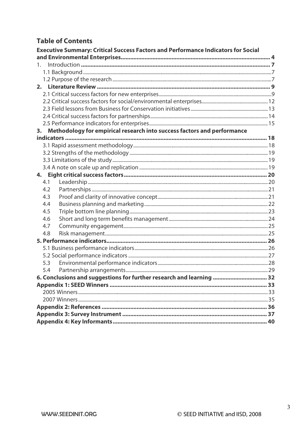# **Table of Contents**

| <b>Executive Summary: Critical Success Factors and Performance Indicators for Social</b> |  |
|------------------------------------------------------------------------------------------|--|
|                                                                                          |  |
| $1_{-}$                                                                                  |  |
|                                                                                          |  |
|                                                                                          |  |
|                                                                                          |  |
|                                                                                          |  |
|                                                                                          |  |
|                                                                                          |  |
|                                                                                          |  |
|                                                                                          |  |
| Methodology for empirical research into success factors and performance<br>3.            |  |
|                                                                                          |  |
|                                                                                          |  |
|                                                                                          |  |
|                                                                                          |  |
|                                                                                          |  |
|                                                                                          |  |
| 4.1                                                                                      |  |
| 4.2                                                                                      |  |
| 4.3                                                                                      |  |
| 4.4                                                                                      |  |
| 4.5                                                                                      |  |
| 4.6                                                                                      |  |
| 4.7                                                                                      |  |
| 4.8                                                                                      |  |
|                                                                                          |  |
|                                                                                          |  |
|                                                                                          |  |
| 5.3                                                                                      |  |
| 5.4                                                                                      |  |
| 6. Conclusions and suggestions for further research and learning  32                     |  |
|                                                                                          |  |
|                                                                                          |  |
|                                                                                          |  |
|                                                                                          |  |
|                                                                                          |  |
|                                                                                          |  |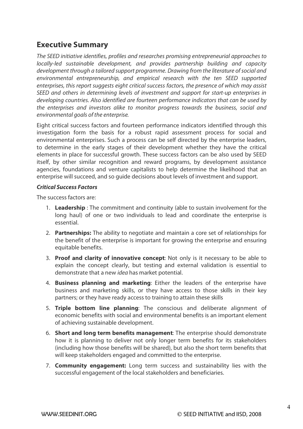# **Executive Summary**

The SEED initiative identifies, profiles and researches promising entrepreneurial approaches to locally-led sustainable development, and provides partnership building and capacity development through a tailored support programme. Drawing from the literature of social and environmental entrepreneurship, and empirical research with the ten SEED supported enterprises, this report suggests eight critical success factors, the presence of which may assist SEED and others in determining levels of investment and support for start-up enterprises in developing countries. Also identified are fourteen performance indicators that can be used by the enterprises and investors alike to monitor progress towards the business, social and environmental goals of the enterprise.

Eight critical success factors and fourteen performance indicators identified through this investigation form the basis for a robust rapid assessment process for social and environmental enterprises. Such a process can be self directed by the enterprise leaders, to determine in the early stages of their development whether they have the critical elements in place for successful growth. These success factors can be also used by SEED itself, by other similar recognition and reward programs, by development assistance agencies, foundations and venture capitalists to help determine the likelihood that an enterprise will succeed, and so guide decisions about levels of investment and support.

#### **Critical Success Factors**

The success factors are:

- 1. **Leadership** : The commitment and continuity (able to sustain involvement for the long haul) of one or two individuals to lead and coordinate the enterprise is essential.
- 2. **Partnerships:** The ability to negotiate and maintain a core set of relationships for the benefit of the enterprise is important for growing the enterprise and ensuring equitable benefits.
- 3. **Proof and clarity of innovative concept**: Not only is it necessary to be able to explain the concept clearly, but testing and external validation is essential to demonstrate that a new idea has market potential.
- 4. **Business planning and marketing**: Either the leaders of the enterprise have business and marketing skills, or they have access to those skills in their key partners; or they have ready access to training to attain these skills
- 5. **Triple bottom line planning**: The conscious and deliberate alignment of economic benefits with social and environmental benefits is an important element of achieving sustainable development.
- 6. **Short and long term benefits management**: The enterprise should demonstrate how it is planning to deliver not only longer term benefits for its stakeholders (including how those benefits will be shared), but also the short term benefits that will keep stakeholders engaged and committed to the enterprise.
- 7. **Community engagement:** Long term success and sustainability lies with the successful engagement of the local stakeholders and beneficiaries.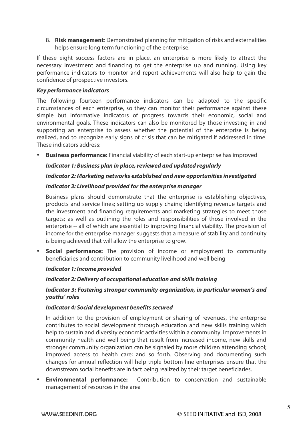8. **Risk management**: Demonstrated planning for mitigation of risks and externalities helps ensure long term functioning of the enterprise.

If these eight success factors are in place, an enterprise is more likely to attract the necessary investment and financing to get the enterprise up and running. Using key performance indicators to monitor and report achievements will also help to gain the confidence of prospective investors.

#### **Key performance indicators**

The following fourteen performance indicators can be adapted to the specific circumstances of each enterprise, so they can monitor their performance against these simple but informative indicators of progress towards their economic, social and environmental goals. These indicators can also be monitored by those investing in and supporting an enterprise to assess whether the potential of the enterprise is being realized, and to recognize early signs of crisis that can be mitigated if addressed in time. These indicators address:

• **Business performance:** Financial viability of each start-up enterprise has improved

#### **Indicator 1: Business plan in place, reviewed and updated regularly**

#### **Indicator 2: Marketing networks established and new opportunities investigated**

#### **Indicator 3: Livelihood provided for the enterprise manager**

Business plans should demonstrate that the enterprise is establishing objectives, products and service lines; setting up supply chains; identifying revenue targets and the investment and financing requirements and marketing strategies to meet those targets; as well as outlining the roles and responsibilities of those involved in the enterprise -- all of which are essential to improving financial viability. The provision of income for the enterprise manager suggests that a measure of stability and continuity is being achieved that will allow the enterprise to grow.

**Social performance:** The provision of income or employment to community beneficiaries and contribution to community livelihood and well being

#### **Indicator 1: Income provided**

#### **Indicator 2: Delivery of occupational education and skills training**

#### **Indicator 3: Fostering stronger community organization, in particular women's and youths' roles**

#### **Indicator 4: Social development benefits secured**

In addition to the provision of employment or sharing of revenues, the enterprise contributes to social development through education and new skills training which help to sustain and diversity economic activities within a community. Improvements in community health and well being that result from increased income, new skills and stronger community organization can be signaled by more children attending school; improved access to health care; and so forth. Observing and documenting such changes for annual reflection will help triple bottom line enterprises ensure that the downstream social benefits are in fact being realized by their target beneficiaries.

• **Environmental performance:** Contribution to conservation and sustainable management of resources in the area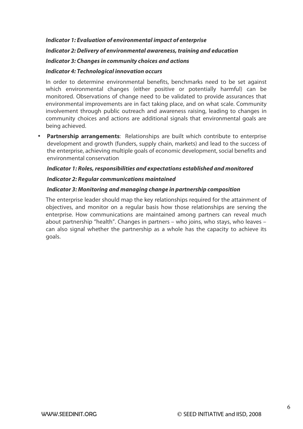#### **Indicator 1: Evaluation of environmental impact of enterprise**

#### **Indicator 2: Delivery of environmental awareness, training and education**

#### **Indicator 3: Changes in community choices and actions**

#### **Indicator 4: Technological innovation occurs**

In order to determine environmental benefits, benchmarks need to be set against which environmental changes (either positive or potentially harmful) can be monitored. Observations of change need to be validated to provide assurances that environmental improvements are in fact taking place, and on what scale. Community involvement through public outreach and awareness raising, leading to changes in community choices and actions are additional signals that environmental goals are being achieved.

**Partnership arrangements:** Relationships are built which contribute to enterprise development and growth (funders, supply chain, markets) and lead to the success of the enterprise, achieving multiple goals of economic development, social benefits and environmental conservation

#### **Indicator 1: Roles, responsibilities and expectations established and monitored**

#### **Indicator 2: Regular communications maintained**

#### **Indicator 3: Monitoring and managing change in partnership composition**

The enterprise leader should map the key relationships required for the attainment of objectives, and monitor on a regular basis how those relationships are serving the enterprise. How communications are maintained among partners can reveal much about partnership "health". Changes in partners – who joins, who stays, who leaves – can also signal whether the partnership as a whole has the capacity to achieve its goals.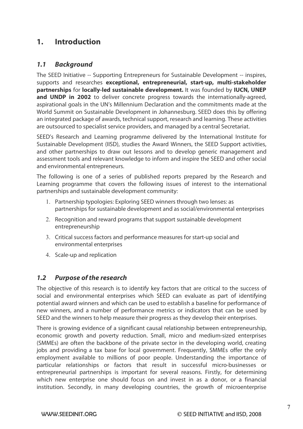# **1. Introduction**

### **1.1 Background**

The SEED Initiative -- Supporting Entrepreneurs for Sustainable Development -- inspires, supports and researches **exceptional, entrepreneurial, start-up, multi-stakeholder partnerships** for **locally-led sustainable development.** It was founded by **IUCN, UNEP**  and UNDP in 2002 to deliver concrete progress towards the internationally-agreed, aspirational goals in the UN's Millennium Declaration and the commitments made at the World Summit on Sustainable Development in Johannesburg. SEED does this by offering an integrated package of awards, technical support, research and learning. These activities are outsourced to specialist service providers, and managed by a central Secretariat.

SEED's Research and Learning programme delivered by the International Institute for Sustainable Development (IISD), studies the Award Winners, the SEED Support activities, and other partnerships to draw out lessons and to develop generic management and assessment tools and relevant knowledge to inform and inspire the SEED and other social and environmental entrepreneurs.

The following is one of a series of published reports prepared by the Research and Learning programme that covers the following issues of interest to the international partnerships and sustainable development community:

- 1. Partnership typologies: Exploring SEED winners through two lenses: as partnerships for sustainable development and as social/environmental enterprises
- 2. Recognition and reward programs that support sustainable development entrepreneurship
- 3. Critical success factors and performance measures for start-up social and environmental enterprises
- 4. Scale-up and replication

# **1.2 Purpose of the research**

The objective of this research is to identify key factors that are critical to the success of social and environmental enterprises which SEED can evaluate as part of identifying potential award winners and which can be used to establish a baseline for performance of new winners, and a number of performance metrics or indicators that can be used by SEED and the winners to help measure their progress as they develop their enterprises.

There is growing evidence of a significant causal relationship between entrepreneurship, economic growth and poverty reduction. Small, micro and medium-sized enterprises (SMMEs) are often the backbone of the private sector in the developing world, creating jobs and providing a tax base for local government. Frequently, SMMEs offer the only employment available to millions of poor people. Understanding the importance of particular relationships or factors that result in successful micro-businesses or entrepreneurial partnerships is important for several reasons. Firstly, for determining which new enterprise one should focus on and invest in as a donor, or a financial institution. Secondly, in many developing countries, the growth of microenterprise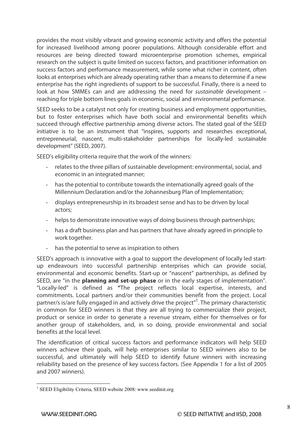provides the most visibly vibrant and growing economic activity and offers the potential for increased livelihood among poorer populations. Although considerable effort and resources are being directed toward microenterprise promotion schemes, empirical research on the subject is quite limited on success factors, and practitioner information on success factors and performance measurement, while some what richer in content, often looks at enterprises which are already operating rather than a means to determine if a new enterprise has the right ingredients of support to be successful. Finally, there is a need to look at how SMMEs can and are addressing the need for sustainable development – reaching for triple bottom lines goals in economic, social and environmental performance.

SEED seeks to be a catalyst not only for creating business and employment opportunities, but to foster enterprises which have both social and environmental benefits which succeed through effective partnership among diverse actors. The stated goal of the SEED initiative is to be an instrument that "inspires, supports and researches exceptional, entrepreneurial, nascent, multi-stakeholder partnerships for locally-led sustainable development" (SEED, 2007).

SEED's eligibility criteria require that the work of the winners:

- relates to the three pillars of sustainable development: environmental, social, and economic in an integrated manner;
- has the potential to contribute towards the internationally agreed goals of the Millennium Declaration and/or the Johannesburg Plan of Implementation;
- displays entrepreneurship in its broadest sense and has to be driven by local actors;
- helps to demonstrate innovative ways of doing business through partnerships;
- has a draft business plan and has partners that have already agreed in principle to work together.
- has the potential to serve as inspiration to others

SEED's approach is innovative with a goal to support the development of locally led startup endeavours into successful partnership enterprises which can provide social, environmental and economic benefits. Start-up or "nascent" partnerships, as defined by SEED, are "in the **planning and set-up phase** or in the early stages of implementation". "Locally-led" is defined as **"**The project reflects local expertise, interests, and commitments. Local partners and/or their communities benefit from the project. Local partner/s is/are fully engaged in and actively drive the project"<sup>1</sup>. The primary characteristic in common for SEED winners is that they are all trying to commercialize their project, product or service in order to generate a revenue stream, either for themselves or for another group of stakeholders, and, in so doing, provide environmental and social benefits at the local level.

The identification of critical success factors and performance indicators will help SEED winners achieve their goals, will help enterprises similar to SEED winners also to be successful, and ultimately will help SEED to identify future winners with increasing reliability based on the presence of key success factors. (See Appendix 1 for a list of 2005 and 2007 winners).

 $\frac{1}{1}$ <sup>1</sup> SEED Eligibility Criteria, SEED website 2008: www.seedinit.org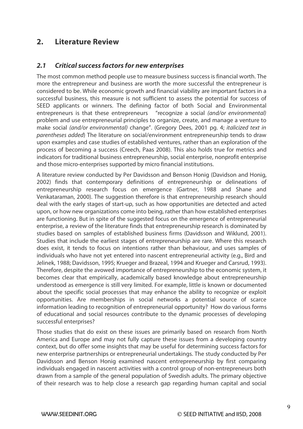# **2. Literature Review**

### **2.1 Critical success factors for new enterprises**

The most common method people use to measure business success is financial worth. The more the entrepreneur and business are worth the more successful the entrepreneur is considered to be. While economic growth and financial viability are important factors in a successful business, this measure is not sufficient to assess the potential for success of SEED applicants or winners. The defining factor of both Social and Environmental entrepreneurs is that these entrepreneurs "recognize a social (and/or environmental) problem and use entrepreneurial principles to organize, create, and manage a venture to make social (and/or environmental) change". (Gregory Dees, 2001 pg. 4; italicized text in parentheses added) The literature on social/environment entrepreneurship tends to draw upon examples and case studies of established ventures, rather than an exploration of the process of becoming a success (Creech, Paas 2008). This also holds true for metrics and indicators for traditional business entrepreneurship, social enterprise, nonprofit enterprise and those micro-enterprises supported by micro financial institutions.

A literature review conducted by Per Davidsson and Benson Honig (Davidson and Honig, 2002) finds that contemporary definitions of entrepreneurship or delineations of entrepreneurship research focus on emergence (Gartner, 1988 and Shane and Venkataraman, 2000). The suggestion therefore is that entrepreneurship research should deal with the early stages of start-up, such as how opportunities are detected and acted upon, or how new organizations come into being, rather than how established enterprises are functioning. But in spite of the suggested focus on the emergence of entrepreneurial enterprise, a review of the literature finds that entrepreneurship research is dominated by studies based on samples of established business firms (Davidsson and Wiklund, 2001). Studies that include the earliest stages of entrepreneurship are rare. Where this research does exist, it tends to focus on intentions rather than behaviour, and uses samples of individuals who have not yet entered into nascent entrepreneurial activity (e.g., Bird and Jelinek, 1988; Davidsson, 1995; Krueger and Brazeal, 1994 and Krueger and Carsrud, 1993). Therefore, despite the avowed importance of entrepreneurship to the economic system, it becomes clear that empirically, academically based knowledge about entrepreneurship understood as emergence is still very limited. For example, little is known or documented about the specific social processes that may enhance the ability to recognize or exploit opportunities. Are memberships in social networks a potential source of scarce information leading to recognition of entrepreneurial opportunity? How do various forms of educational and social resources contribute to the dynamic processes of developing successful enterprises?

Those studies that do exist on these issues are primarily based on research from North America and Europe and may not fully capture these issues from a developing country context, but do offer some insights that may be useful for determining success factors for new enterprise partnerships or entrepreneurial undertakings. The study conducted by Per Davidsson and Benson Honig examined nascent entrepreneurship by first comparing individuals engaged in nascent activities with a control group of non-entrepreneurs both drawn from a sample of the general population of Swedish adults. The primary objective of their research was to help close a research gap regarding human capital and social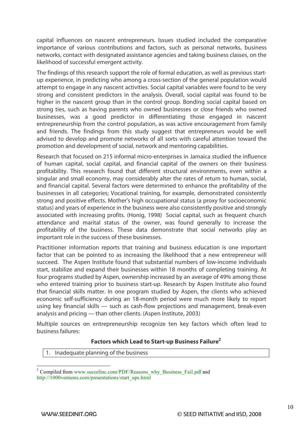capital influences on nascent entrepreneurs. Issues studied included the comparative importance of various contributions and factors, such as personal networks, business networks, contact with designated assistance agencies and taking business classes, on the likelihood of successful emergent activity.

The findings of this research support the role of formal education, as well as previous startup experience, in predicting who among a cross-section of the general population would attempt to engage in any nascent activities. Social capital variables were found to be very strong and consistent predictors in the analysis. Overall, social capital was found to be higher in the nascent group than in the control group. Bonding social capital based on strong ties, such as having parents who owned businesses or close friends who owned businesses, was a good predictor in differentiating those engaged in nascent entrepreneurship from the control population, as was active encouragement from family and friends. The findings from this study suggest that entrepreneurs would be well advised to develop and promote networks of all sorts with careful attention toward the promotion and development of social, network and mentoring capabilities.

Research that focused on 215 informal micro-enterprises in Jamaica studied the influence of human capital, social capital, and financial capital of the owners on their business profitability. This research found that different structural environments, even within a singular and small economy, may considerably alter the rates of return to human, social, and financial capital. Several factors were determined to enhance the profitability of the businesses in all categories; Vocational training, for example, demonstrated consistently strong and positive effects. Mother's high occupational status (a proxy for socioeconomic status) and years of experience in the business were also consistently positive and strongly associated with increasing profits. (Honig, 1998) Social capital, such as frequent church attendance and marital status of the owner, was found generally to increase the profitability of the business. These data demonstrate that social networks play an important role in the success of these businesses.

Practitioner information reports that training and business education is one important factor that can be pointed to as increasing the likelihood that a new entrepreneur will succeed. The Aspen Institute found that substantial numbers of low-income individuals start, stabilize and expand their businesses within 18 months of completing training. At four programs studied by Aspen, ownership increased by an average of 49% among those who entered training prior to business start-up. Research by Aspen Institute also found that financial skills matter. In one program studied by Aspen, the clients who achieved economic self-sufficiency during an 18-month period were much more likely to report using key financial skills — such as cash-flow projections and management, break-even analysis and pricing — than other clients. (Aspen Institute, 2003)

Multiple sources on entrepreneurship recognize ten key factors which often lead to business failures:

#### **Factors which Lead to Start-up Business Failure<sup>2</sup>**

1. Inadequate planning of the business

 $\frac{1}{2}$ <sup>2</sup> Compiled from www.succelinc.com/PDF/Reasons\_why\_Business\_Fail.pdf and http://1000ventures.com/presentations/start\_ups.html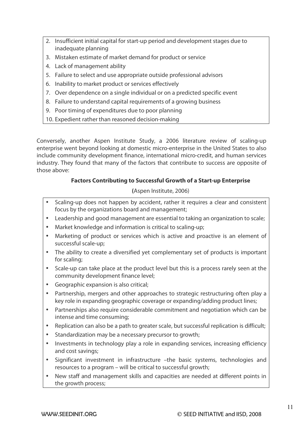- 2. Insufficient initial capital for start-up period and development stages due to inadequate planning
- 3. Mistaken estimate of market demand for product or service
- 4. Lack of management ability
- 5. Failure to select and use appropriate outside professional advisors
- 6. Inability to market product or services effectively
- 7. Over dependence on a single individual or on a predicted specific event
- 8. Failure to understand capital requirements of a growing business
- 9. Poor timing of expenditures due to poor planning
- 10. Expedient rather than reasoned decision-making

Conversely, another Aspen Institute Study, a 2006 literature review of scaling-up enterprise went beyond looking at domestic micro-enterprise in the United States to also include community development finance, international micro-credit, and human services industry. They found that many of the factors that contribute to success are opposite of those above:

## **Factors Contributing to Successful Growth of a Start-up Enterprise**

### **(**Aspen Institute, 2006)

- Scaling-up does not happen by accident, rather it requires a clear and consistent focus by the organizations board and management;
- Leadership and good management are essential to taking an organization to scale;
- Market knowledge and information is critical to scaling-up;
- Marketing of product or services which is active and proactive is an element of successful scale-up;
- The ability to create a diversified yet complementary set of products is important for scaling;
- Scale-up can take place at the product level but this is a process rarely seen at the community development finance level;
- Geographic expansion is also critical;
- Partnership, mergers and other approaches to strategic restructuring often play a key role in expanding geographic coverage or expanding/adding product lines;
- Partnerships also require considerable commitment and negotiation which can be intense and time consuming;
- Replication can also be a path to greater scale, but successful replication is difficult;
- Standardization may be a necessary precursor to growth;
- Investments in technology play a role in expanding services, increasing efficiency and cost savings;
- Significant investment in infrastructure –the basic systems, technologies and resources to a program – will be critical to successful growth;
- New staff and management skills and capacities are needed at different points in the growth process;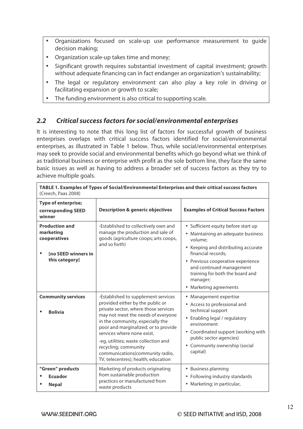- Organizations focused on scale-up use performance measurement to guide decision making;
- Organization scale-up takes time and money;
- Significant growth requires substantial investment of capital investment; growth without adequate financing can in fact endanger an organization's sustainability;
- The legal or regulatory environment can also play a key role in driving or facilitating expansion or growth to scale;
- The funding environment is also critical to supporting scale.

# **2.2 Critical success factors for social/environmental enterprises**

It is interesting to note that this long list of factors for successful growth of business enterprises overlaps with critical success factors identified for social/environmental enterprises, as illustrated in Table 1 below. Thus, while social/environmental enterprises may seek to provide social and environmental benefits which go beyond what we think of as traditional business or enterprise with profit as the sole bottom line, they face the same basic issues as well as having to address a broader set of success factors as they try to achieve multiple goals.

| (Creech, Paas 2008)                                                                                |                                                                                                                                                                                                                                                                                                                                                                                                           |                                                                                                                                                                                                                                                                                             |
|----------------------------------------------------------------------------------------------------|-----------------------------------------------------------------------------------------------------------------------------------------------------------------------------------------------------------------------------------------------------------------------------------------------------------------------------------------------------------------------------------------------------------|---------------------------------------------------------------------------------------------------------------------------------------------------------------------------------------------------------------------------------------------------------------------------------------------|
| <b>Type of enterprise;</b><br>corresponding SEED<br>winner                                         | <b>Description &amp; generic objectives</b>                                                                                                                                                                                                                                                                                                                                                               | <b>Examples of Critical Success Factors</b>                                                                                                                                                                                                                                                 |
| <b>Production and</b><br>marketing<br>cooperatives<br><b>Ino SEED winners in</b><br>this category] | -Established to collectively own and<br>manage the production and sale of<br>goods (agriculture coops; arts coops,<br>and so forth)                                                                                                                                                                                                                                                                       | • Sufficient equity before start up<br>• Maintaining an adequate business<br>volume:<br>• Keeping and distributing accurate<br>financial records;<br>• Previous cooperative experience<br>and continued management<br>training for both the board and<br>manager;<br>• Marketing agreements |
| <b>Community services</b><br><b>Bolivia</b>                                                        | -Established to supplement services<br>provided either by the public or<br>private sector, where those services<br>may not meet the needs of everyone<br>in the community, especially the<br>poor and marginalized; or to provide<br>services where none exist.<br>-eg, utilities; waste collection and<br>recycling; community<br>communications(community radio,<br>TV, telecentres); health; education | • Management expertise<br>• Access to professional and<br>technical support<br>Enabling legal / regulatory<br>$\bullet$<br>environment<br>• Coordinated support (working with<br>public sector agencies)<br>• Community ownership (social<br>capital)                                       |
| "Green" products<br><b>Ecuador</b><br><b>Nepal</b>                                                 | Marketing of products originating<br>from sustainable production<br>practices or manufactured from<br>waste products                                                                                                                                                                                                                                                                                      | • Business planning<br>• Following industry standards<br>• Marketing; in particular,                                                                                                                                                                                                        |

**TABLE 1. Examples of Types of Social/Environmental Enterprises and their critical success factors**  (Creech, Paas 2008)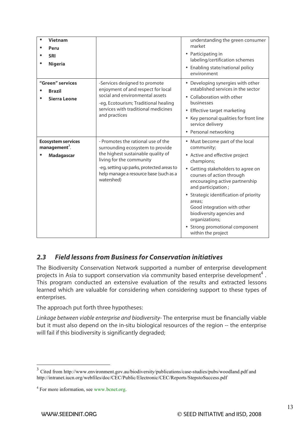| <b>Vietnam</b><br>Peru<br><b>SRI</b><br><b>Nigeria</b>                      |                                                                                                                                                                                                                                               | understanding the green consumer<br>market<br>• Participating in<br>labeling/certification schemes<br>• Enabling state/national policy<br>environment                                                                                                                                                                                                                                                              |
|-----------------------------------------------------------------------------|-----------------------------------------------------------------------------------------------------------------------------------------------------------------------------------------------------------------------------------------------|--------------------------------------------------------------------------------------------------------------------------------------------------------------------------------------------------------------------------------------------------------------------------------------------------------------------------------------------------------------------------------------------------------------------|
| "Green" services<br><b>Brazil</b><br><b>Sierra Leone</b>                    | -Services designed to promote<br>enjoyment of and respect for local<br>social and environmental assets<br>-eg, Ecotourism; Traditional healing<br>services with traditional medicines<br>and practices                                        | • Developing synergies with other<br>established services in the sector<br>• Collaboration with other<br>businesses<br>• Effective target marketing<br>• Key personal qualities for front line<br>service delivery<br>• Personal networking                                                                                                                                                                        |
| <b>Ecosystem services</b><br>management <sup>3</sup> .<br><b>Madagascar</b> | - Promotes the rational use of the<br>surrounding ecosystem to provide<br>the highest sustainable quality of<br>living for the community<br>-eg, setting up parks, protected areas to<br>help manage a resource base (such as a<br>watershed) | • Must become part of the local<br>community;<br>• Active and effective project<br>champions;<br>• Getting stakeholders to agree on<br>courses of action through<br>encouraging active partnership<br>and participation;<br>• Strategic identification of priority<br>areas;<br>Good integration with other<br>biodiversity agencies and<br>organizations;<br>• Strong promotional component<br>within the project |

# **2.3 Field lessons from Business for Conservation initiatives**

The Biodiversity Conservation Network supported a number of enterprise development projects in Asia to support conservation via community based enterprise development<sup>4</sup>. This program conducted an extensive evaluation of the results and extracted lessons learned which are valuable for considering when considering support to these types of enterprises.

The approach put forth three hypotheses:

Linkage between viable enterprise and biodiversity- The enterprise must be financially viable but it must also depend on the in-situ biological resources of the region -- the enterprise will fail if this biodiversity is significantly degraded;

 <sup>3</sup> Cited from http://www.environment.gov.au/biodiversity/publications/case-studies/pubs/woodland.pdf and http://intranet.iucn.org/webfiles/doc/CEC/Public/Electronic/CEC/Reports/StepstoSuccess.pdf

<sup>&</sup>lt;sup>4</sup> For more information, see www.bcnet.org.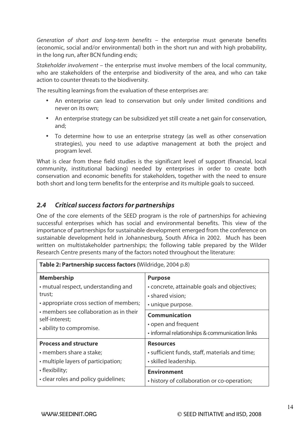Generation of short and long-term benefits – the enterprise must generate benefits (economic, social and/or environmental) both in the short run and with high probability, in the long run, after BCN funding ends;

Stakeholder involvement – the enterprise must involve members of the local community, who are stakeholders of the enterprise and biodiversity of the area, and who can take action to counter threats to the biodiversity.

The resulting learnings from the evaluation of these enterprises are:

- An enterprise can lead to conservation but only under limited conditions and never on its own;
- An enterprise strategy can be subsidized yet still create a net gain for conservation, and;
- To determine how to use an enterprise strategy (as well as other conservation strategies), you need to use adaptive management at both the project and program level.

What is clear from these field studies is the significant level of support (financial, local community, institutional backing) needed by enterprises in order to create both conservation and economic benefits for stakeholders, together with the need to ensure both short and long term benefits for the enterprise and its multiple goals to succeed.

# **2.4 Critical success factors for partnerships**

One of the core elements of the SEED program is the role of partnerships for achieving successful enterprises which has social and environmental benefits. This view of the importance of partnerships for sustainable development emerged from the conference on sustainable development held in Johannesburg, South Africa in 2002. Much has been written on multistakeholder partnerships; the following table prepared by the Wilder Research Centre presents many of the factors noted throughout the literature:

| Table 2: Partnership success factors (Wildridge, 2004 p.8) |                                                |  |
|------------------------------------------------------------|------------------------------------------------|--|
| <b>Membership</b>                                          | <b>Purpose</b>                                 |  |
| • mutual respect, understanding and                        | • concrete, attainable goals and objectives;   |  |
| trust;                                                     | • shared vision;                               |  |
| • appropriate cross section of members;                    | · unique purpose.                              |  |
| • members see collaboration as in their<br>self-interest;  | <b>Communication</b>                           |  |
|                                                            | • open and frequent                            |  |
| • ability to compromise.                                   | · informal relationships & communication links |  |
| <b>Process and structure</b>                               | <b>Resources</b>                               |  |
| • members share a stake;                                   | · sufficient funds, staff, materials and time; |  |
| . multiple layers of participation;                        | · skilled leadership.                          |  |
| · flexibility;                                             | <b>Environment</b>                             |  |
| • clear roles and policy guidelines;                       | • history of collaboration or co-operation;    |  |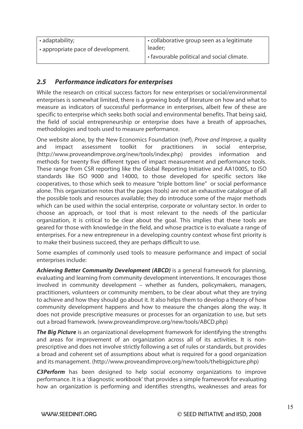| • adaptability;                    | $\cdot$ collaborative group seen as a legitimate |
|------------------------------------|--------------------------------------------------|
| • appropriate pace of development. | leader;                                          |
|                                    | I • favourable political and social climate.     |

# **2.5 Performance indicators for enterprises**

While the research on critical success factors for new enterprises or social/environmental enterprises is somewhat limited, there is a growing body of literature on how and what to measure as indicators of successful performance in enterprises, albeit few of these are specific to enterprise which seeks both social and environmental benefits. That being said, the field of social entrepreneurship or enterprise does have a breath of approaches, methodologies and tools used to measure performance.

One website alone, by the New Economics Foundation (nef), Prove and Improve, a quality and impact assessment toolkit for practitioners in social enterprise, (http://www.proveandimprove.org/new/tools/index.php) provides information and methods for twenty five different types of impact measurement and performance tools. These range from CSR reporting like the Global Reporting Initiative and AA1000S, to ISO standards like ISO 9000 and 14000, to those developed for specific sectors like cooperatives, to those which seek to measure "triple bottom line" or social performance alone. This organization notes that the pages (tools) are not an exhaustive catalogue of all the possible tools and resources available; they do introduce some of the major methods which can be used within the social enterprise, corporate or voluntary sector. In order to choose an approach, or tool that is most relevant to the needs of the particular organization, it is critical to be clear about the goal. This implies that these tools are geared for those with knowledge in the field, and whose practice is to evaluate a range of enterprises. For a new entrepreneur in a developing country context whose first priority is to make their business succeed, they are perhaps difficult to use.

Some examples of commonly used tools to measure performance and impact of social enterprises include:

**Achieving Better Community Development (ABCD)** is a general framework for planning, evaluating and learning from community development interventions. It encourages those involved in community development – whether as funders, policymakers, managers, practitioners, volunteers or community members, to be clear about what they are trying to achieve and how they should go about it. It also helps them to develop a theory of how community development happens and how to measure the changes along the way. It does not provide prescriptive measures or processes for an organization to use, but sets out a broad framework. (www.proveandimprove.org/new/tools/ABCD.php)

**The Big Picture** is an organizational development framework for identifying the strengths and areas for improvement of an organization across all of its activities. It is nonprescriptive and does not involve strictly following a set of rules or standards, but provides a broad and coherent set of assumptions about what is required for a good organization and its management. (http://www.proveandimprove.org/new/tools/thebigpicture.php)

**C3Perform** has been designed to help social economy organizations to improve performance. It is a 'diagnostic workbook' that provides a simple framework for evaluating how an organization is performing and identifies strengths, weaknesses and areas for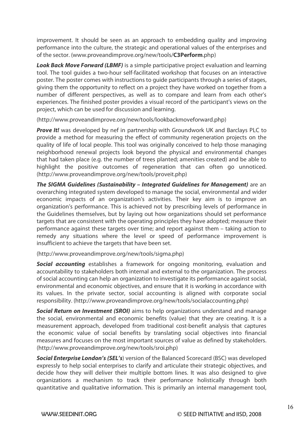improvement. It should be seen as an approach to embedding quality and improving performance into the culture, the strategic and operational values of the enterprises and of the sector. (www.proveandimprove.org/new/tools/**C3Perform**.php)

**Look Back Move Forward (LBMF)** is a simple participative project evaluation and learning tool. The tool guides a two-hour self-facilitated workshop that focuses on an interactive poster. The poster comes with instructions to guide participants through a series of stages, giving them the opportunity to reflect on a project they have worked on together from a number of different perspectives, as well as to compare and learn from each other's experiences. The finished poster provides a visual record of the participant's views on the project, which can be used for discussion and learning.

(http://www.proveandimprove.org/new/tools/lookbackmoveforward.php)

**Prove It!** was developed by nef in partnership with Groundwork UK and Barclays PLC to provide a method for measuring the effect of community regeneration projects on the quality of life of local people. This tool was originally conceived to help those managing neighborhood renewal projects look beyond the physical and environmental changes that had taken place (e.g. the number of trees planted; amenities created) and be able to highlight the positive outcomes of regeneration that can often go unnoticed. (http://www.proveandimprove.org/new/tools/proveit.php)

**The SIGMA Guidelines (Sustainability – Integrated Guidelines for Management)** are an overarching integrated system developed to manage the social, environmental and wider economic impacts of an organization's activities. Their key aim is to improve an organization's performance. This is achieved not by prescribing levels of performance in the Guidelines themselves, but by laying out how organizations should set performance targets that are consistent with the operating principles they have adopted; measure their performance against these targets over time; and report against them – taking action to remedy any situations where the level or speed of performance improvement is insufficient to achieve the targets that have been set.

(http://www.proveandimprove.org/new/tools/sigma.php)

**Social accounting** establishes a framework for ongoing monitoring, evaluation and accountability to stakeholders both internal and external to the organization. The process of social accounting can help an organization to investigate its performance against social, environmental and economic objectives, and ensure that it is working in accordance with its values. In the private sector, social accounting is aligned with corporate social responsibility. (http://www.proveandimprove.org/new/tools/socialaccounting.php)

**Social Return on Investment (SROI)** aims to help organizations understand and manage the social, environmental and economic benefits (value) that they are creating. It is a measurement approach, developed from traditional cost-benefit analysis that captures the economic value of social benefits by translating social objectives into financial measures and focuses on the most important sources of value as defined by stakeholders. (http://www.proveandimprove.org/new/tools/sroi.php)

**Social Enterprise London's (SEL's)** version of the Balanced Scorecard (BSC) was developed expressly to help social enterprises to clarify and articulate their strategic objectives, and decide how they will deliver their multiple bottom lines. It was also designed to give organizations a mechanism to track their performance holistically through both quantitative and qualitative information. This is primarily an internal management tool,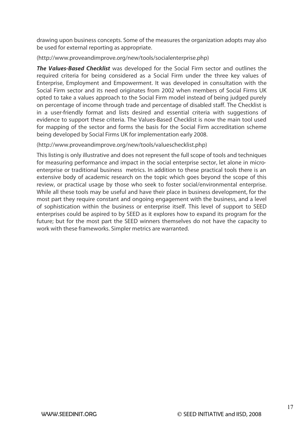drawing upon business concepts. Some of the measures the organization adopts may also be used for external reporting as appropriate.

(http://www.proveandimprove.org/new/tools/socialenterprise.php)

**The Values-Based Checklist** was developed for the Social Firm sector and outlines the required criteria for being considered as a Social Firm under the three key values of Enterprise, Employment and Empowerment. It was developed in consultation with the Social Firm sector and its need originates from 2002 when members of Social Firms UK opted to take a values approach to the Social Firm model instead of being judged purely on percentage of income through trade and percentage of disabled staff. The Checklist is in a user-friendly format and lists desired and essential criteria with suggestions of evidence to support these criteria. The Values-Based Checklist is now the main tool used for mapping of the sector and forms the basis for the Social Firm accreditation scheme being developed by Social Firms UK for implementation early 2008.

(http://www.proveandimprove.org/new/tools/valueschecklist.php)

This listing is only illustrative and does not represent the full scope of tools and techniques for measuring performance and impact in the social enterprise sector, let alone in microenterprise or traditional business metrics. In addition to these practical tools there is an extensive body of academic research on the topic which goes beyond the scope of this review, or practical usage by those who seek to foster social/environmental enterprise. While all these tools may be useful and have their place in business development, for the most part they require constant and ongoing engagement with the business, and a level of sophistication within the business or enterprise itself. This level of support to SEED enterprises could be aspired to by SEED as it explores how to expand its program for the future; but for the most part the SEED winners themselves do not have the capacity to work with these frameworks. Simpler metrics are warranted.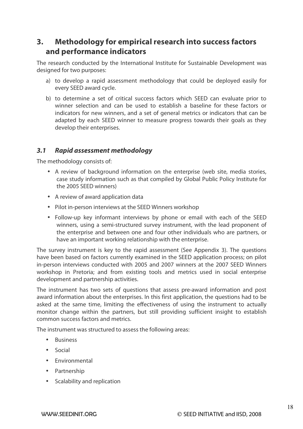# **3. Methodology for empirical research into success factors and performance indicators**

The research conducted by the International Institute for Sustainable Development was designed for two purposes:

- a) to develop a rapid assessment methodology that could be deployed easily for every SEED award cycle.
- b) to determine a set of critical success factors which SEED can evaluate prior to winner selection and can be used to establish a baseline for these factors or indicators for new winners, and a set of general metrics or indicators that can be adapted by each SEED winner to measure progress towards their goals as they develop their enterprises.

# **3.1 Rapid assessment methodology**

The methodology consists of:

- A review of background information on the enterprise (web site, media stories, case study information such as that compiled by Global Public Policy Institute for the 2005 SEED winners)
- A review of award application data
- Pilot in-person interviews at the SEED Winners workshop
- Follow-up key informant interviews by phone or email with each of the SEED winners, using a semi-structured survey instrument, with the lead proponent of the enterprise and between one and four other individuals who are partners, or have an important working relationship with the enterprise.

The survey instrument is key to the rapid assessment (See Appendix 3). The questions have been based on factors currently examined in the SEED application process; on pilot in-person interviews conducted with 2005 and 2007 winners at the 2007 SEED Winners workshop in Pretoria; and from existing tools and metrics used in social enterprise development and partnership activities.

The instrument has two sets of questions that assess pre-award information and post award information about the enterprises. In this first application, the questions had to be asked at the same time, limiting the effectiveness of using the instrument to actually monitor change within the partners, but still providing sufficient insight to establish common success factors and metrics.

The instrument was structured to assess the following areas:

- Business
- Social
- Environmental
- Partnership
- Scalability and replication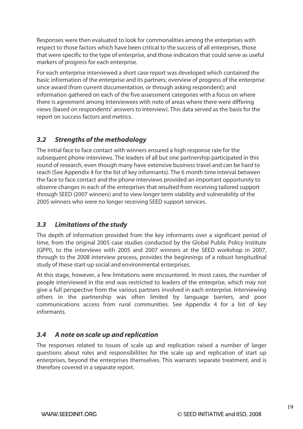Responses were then evaluated to look for commonalities among the enterprises with respect to those factors which have been critical to the success of all enterprises, those that were specific to the type of enterprise, and those indicators that could serve as useful markers of progress for each enterprise.

For each enterprise interviewed a short case report was developed which contained the basic information of the enterprise and its partners; overview of progress of the enterprise since award (from current documentation, or through asking respondent); and information gathered on each of the five assessment categories with a focus on where there is agreement among interviewees with note of areas where there were differing views (based on respondents' answers to interview). This data served as the basis for the report on success factors and metrics.

# **3.2 Strengths of the methodology**

The initial face to face contact with winners ensured a high response rate for the subsequent phone interviews. The leaders of all but one partnership participated in this round of research, even though many have extensive business travel and can be hard to reach (See Appendix 4 for the list of key informants). The 6 month time interval between the face to face contact and the phone interviews provided an important opportunity to observe changes in each of the enterprises that resulted from receiving tailored support through SEED (2007 winners) and to view longer term viability and vulnerability of the 2005 winners who were no longer receiving SEED support services.

# **3.3 Limitations of the study**

The depth of information provided from the key informants over a significant period of time, from the original 2005 case studies conducted by the Global Public Policy Institute (GPPI), to the interviews with 2005 and 2007 winners at the SEED workshop in 2007, through to the 2008 interview process, provides the beginnings of a robust longitudinal study of these start-up social and environmental enterprises.

At this stage, however, a few limitations were encountered. In most cases, the number of people interviewed in the end was restricted to leaders of the enterprise, which may not give a full perspective from the various partners involved in each enterprise. Interviewing others in the partnership was often limited by language barriers, and poor communications access from rural communities. See Appendix 4 for a list of key informants.

# **3.4 A note on scale up and replication**

The responses related to issues of scale up and replication raised a number of larger questions about roles and responsibilities for the scale up and replication of start up enterprises, beyond the enterprises themselves. This warrants separate treatment, and is therefore covered in a separate report.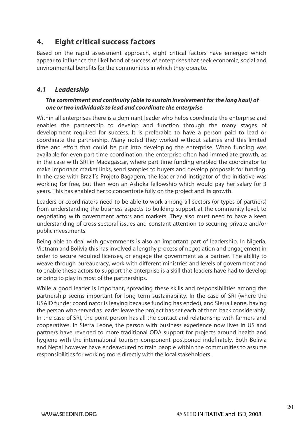# **4. Eight critical success factors**

Based on the rapid assessment approach, eight critical factors have emerged which appear to influence the likelihood of success of enterprises that seek economic, social and environmental benefits for the communities in which they operate.

# **4.1 Leadership**

#### **The commitment and continuity (able to sustain involvement for the long haul) of one or two individuals to lead and coordinate the enterprise**

Within all enterprises there is a dominant leader who helps coordinate the enterprise and enables the partnership to develop and function through the many stages of development required for success. It is preferable to have a person paid to lead or coordinate the partnership. Many noted they worked without salaries and this limited time and effort that could be put into developing the enterprise. When funding was available for even part time coordination, the enterprise often had immediate growth, as in the case with SRI in Madagascar, where part time funding enabled the coordinator to make important market links, send samples to buyers and develop proposals for funding. In the case with Brazil´s Projeto Bagagem, the leader and instigator of the initiative was working for free, but then won an Ashoka fellowship which would pay her salary for 3 years. This has enabled her to concentrate fully on the project and its growth.

Leaders or coordinators need to be able to work among all sectors (or types of partners) from understanding the business aspects to building support at the community level, to negotiating with government actors and markets. They also must need to have a keen understanding of cross-sectoral issues and constant attention to securing private and/or public investments.

Being able to deal with governments is also an important part of leadership. In Nigeria, Vietnam and Bolivia this has involved a lengthy process of negotiation and engagement in order to secure required licenses, or engage the government as a partner. The ability to weave through bureaucracy, work with different ministries and levels of government and to enable these actors to support the enterprise is a skill that leaders have had to develop or bring to play in most of the partnerships.

While a good leader is important, spreading these skills and responsibilities among the partnership seems important for long term sustainability. In the case of SRI (where the USAID funder coordinator is leaving because funding has ended), and Sierra Leone, having the person who served as leader leave the project has set each of them back considerably. In the case of SRI, the point person has all the contact and relationship with farmers and cooperatives. In Sierra Leone, the person with business experience now lives in US and partners have reverted to more traditional ODA support for projects around health and hygiene with the international tourism component postponed indefinitely. Both Bolivia and Nepal however have endeavoured to train people within the communities to assume responsibilities for working more directly with the local stakeholders.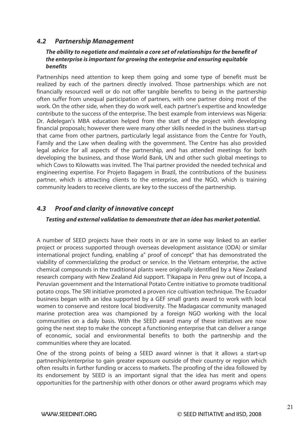### **4.2 Partnership Management**

#### **The ability to negotiate and maintain a core set of relationships for the benefit of the enterprise is important for growing the enterprise and ensuring equitable benefits**

Partnerships need attention to keep them going and some type of benefit must be realized by each of the partners directly involved. Those partnerships which are not financially resourced well or do not offer tangible benefits to being in the partnership often suffer from unequal participation of partners, with one partner doing most of the work. On the other side, when they do work well, each partner's expertise and knowledge contribute to the success of the enterprise. The best example from interviews was Nigeria: Dr. Adelegan's MBA education helped from the start of the project with developing financial proposals; however there were many other skills needed in the business start-up that came from other partners, particularly legal assistance from the Centre for Youth, Family and the Law when dealing with the government. The Centre has also provided legal advice for all aspects of the partnership, and has attended meetings for both developing the business, and those World Bank, UN and other such global meetings to which Cows to Kilowatts was invited. The Thai partner provided the needed technical and engineering expertise. For Projeto Bagagem in Brazil, the contributions of the business partner, which is attracting clients to the enterprise, and the NGO, which is training community leaders to receive clients, are key to the success of the partnership.

## **4.3 Proof and clarity of innovative concept**

#### **Testing and external validation to demonstrate that an idea has market potential.**

A number of SEED projects have their roots in or are in some way linked to an earlier project or process supported through overseas development assistance (ODA) or similar international project funding, enabling a" proof of concept" that has demonstrated the viability of commercializing the product or service. In the Vietnam enterprise, the active chemical compounds in the traditional plants were originally identified by a New Zealand research company with New Zealand Aid support. T'ikapapa in Peru grew out of Incopa, a Peruvian government and the International Potato Centre initiative to promote traditional potato crops. The SRI initiative promoted a proven rice cultivation technique. The Ecuador business began with an idea supported by a GEF small grants award to work with local women to conserve and restore local biodiversity. The Madagascar community managed marine protection area was championed by a foreign NGO working with the local communities on a daily basis. With the SEED award many of these initiatives are now going the next step to make the concept a functioning enterprise that can deliver a range of economic, social and environmental benefits to both the partnership and the communities where they are located.

One of the strong points of being a SEED award winner is that it allows a start-up partnership/enterprise to gain greater exposure outside of their country or region which often results in further funding or access to markets. The proofing of the idea followed by its endorsement by SEED is an important signal that the idea has merit and opens opportunities for the partnership with other donors or other award programs which may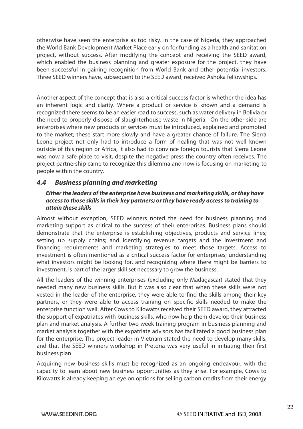otherwise have seen the enterprise as too risky. In the case of Nigeria, they approached the World Bank Development Market Place early on for funding as a health and sanitation project, without success. After modifying the concept and receiving the SEED award, which enabled the business planning and greater exposure for the project, they have been successful in gaining recognition from World Bank and other potential investors. Three SEED winners have, subsequent to the SEED award, received Ashoka fellowships.

Another aspect of the concept that is also a critical success factor is whether the idea has an inherent logic and clarity. Where a product or service is known and a demand is recognized there seems to be an easier road to success, such as water delivery in Bolivia or the need to properly dispose of slaughterhouse waste in Nigeria. On the other side are enterprises where new products or services must be introduced, explained and promoted to the market; these start more slowly and have a greater chance of failure. The Sierra Leone project not only had to introduce a form of healing that was not well known outside of this region or Africa, it also had to convince foreign tourists that Sierra Leone was now a safe place to visit, despite the negative press the country often receives. The project partnership came to recognize this dilemma and now is focusing on marketing to people within the country.

## **4.4 Business planning and marketing**

#### **Either the leaders of the enterprise have business and marketing skills, or they have access to those skills in their key partners; or they have ready access to training to attain these skills**

Almost without exception, SEED winners noted the need for business planning and marketing support as critical to the success of their enterprises. Business plans should demonstrate that the enterprise is establishing objectives, products and service lines; setting up supply chains; and identifying revenue targets and the investment and financing requirements and marketing strategies to meet those targets. Access to investment is often mentioned as a critical success factor for enterprises; understanding what investors might be looking for, and recognizing where there might be barriers to investment, is part of the larger skill set necessary to grow the business.

All the leaders of the winning enterprises (excluding only Madagascar) stated that they needed many new business skills. But it was also clear that when these skills were not vested in the leader of the enterprise, they were able to find the skills among their key partners, or they were able to access training on specific skills needed to make the enterprise function well. After Cows to Kilowatts received their SEED award, they attracted the support of expatriates with business skills, who now help them develop their business plan and market analysis. A further two week training program in business planning and market analysis together with the expatriate advisors has facilitated a good business plan for the enterprise. The project leader in Vietnam stated the need to develop many skills, and that the SEED winners workshop in Pretoria was very useful in initiating their first business plan.

Acquiring new business skills must be recognized as an ongoing endeavour, with the capacity to learn about new business opportunities as they arise. For example, Cows to Kilowatts is already keeping an eye on options for selling carbon credits from their energy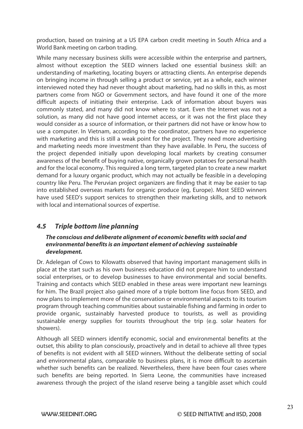production, based on training at a US EPA carbon credit meeting in South Africa and a World Bank meeting on carbon trading.

While many necessary business skills were accessible within the enterprise and partners, almost without exception the SEED winners lacked one essential business skill: an understanding of marketing, locating buyers or attracting clients. An enterprise depends on bringing income in through selling a product or service, yet as a whole, each winner interviewed noted they had never thought about marketing, had no skills in this, as most partners come from NGO or Government sectors, and have found it one of the more difficult aspects of initiating their enterprise. Lack of information about buyers was commonly stated, and many did not know where to start. Even the Internet was not a solution, as many did not have good internet access, or it was not the first place they would consider as a source of information, or their partners did not have or know how to use a computer. In Vietnam, according to the coordinator, partners have no experience with marketing and this is still a weak point for the project. They need more advertising and marketing needs more investment than they have available. In Peru, the success of the project depended initially upon developing local markets by creating consumer awareness of the benefit of buying native, organically grown potatoes for personal health and for the local economy. This required a long term, targeted plan to create a new market demand for a luxury organic product, which may not actually be feasible in a developing country like Peru. The Peruvian project organizers are finding that it may be easier to tap into established overseas markets for organic produce (eg, Europe). Most SEED winners have used SEED's support services to strengthen their marketing skills, and to network with local and international sources of expertise.

# **4.5 Triple bottom line planning**

#### **The conscious and deliberate alignment of economic benefits with social and environmental benefits is an important element of achieving sustainable development.**

Dr. Adelegan of Cows to Kilowatts observed that having important management skills in place at the start such as his own business education did not prepare him to understand social enterprises, or to develop businesses to have environmental and social benefits. Training and contacts which SEED enabled in these areas were important new learnings for him. The Brazil project also gained more of a triple bottom line focus from SEED, and now plans to implement more of the conservation or environmental aspects to its tourism program through teaching communities about sustainable fishing and farming in order to provide organic, sustainably harvested produce to tourists, as well as providing sustainable energy supplies for tourists throughout the trip (e.g. solar heaters for showers).

Although all SEED winners identify economic, social and environmental benefits at the outset, this ability to plan consciously, proactively and in detail to achieve all three types of benefits is not evident with all SEED winners. Without the deliberate setting of social and environmental plans, comparable to business plans, it is more difficult to ascertain whether such benefits can be realized. Nevertheless, there have been four cases where such benefits are being reported. In Sierra Leone, the communities have increased awareness through the project of the island reserve being a tangible asset which could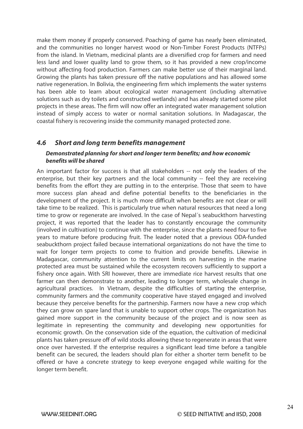make them money if properly conserved. Poaching of game has nearly been eliminated, and the communities no longer harvest wood or Non-Timber Forest Products (NTFPs) from the island. In Vietnam, medicinal plants are a diversified crop for farmers and need less land and lower quality land to grow them, so it has provided a new crop/income without affecting food production. Farmers can make better use of their marginal land. Growing the plants has taken pressure off the native populations and has allowed some native regeneration. In Bolivia, the engineering firm which implements the water systems has been able to learn about ecological water management (including alternative solutions such as dry toilets and constructed wetlands) and has already started some pilot projects in these areas. The firm will now offer an integrated water management solution instead of simply access to water or normal sanitation solutions. In Madagascar, the coastal fishery is recovering inside the community managed protected zone.

## **4.6 Short and long term benefits management**

#### **Demonstrated planning for short and longer term benefits; and how economic benefits will be shared**

An important factor for success is that all stakeholders -- not only the leaders of the enterprise, but their key partners and the local community -- feel they are receiving benefits from the effort they are putting in to the enterprise. Those that seem to have more success plan ahead and define potential benefits to the beneficiaries in the development of the project. It is much more difficult when benefits are not clear or will take time to be realized. This is particularly true when natural resources that need a long time to grow or regenerate are involved. In the case of Nepal´s seabuckthorn harvesting project, it was reported that the leader has to constantly encourage the community (involved in cultivation) to continue with the enterprise, since the plants need four to five years to mature before producing fruit. The leader noted that a previous ODA-funded seabuckthorn project failed because international organizations do not have the time to wait for longer term projects to come to fruition and provide benefits. Likewise in Madagascar, community attention to the current limits on harvesting in the marine protected area must be sustained while the ecosystem recovers sufficiently to support a fishery once again. With SRI however, there are immediate rice harvest results that one farmer can then demonstrate to another, leading to longer term, wholesale change in agricultural practices. In Vietnam, despite the difficulties of starting the enterprise, community farmers and the community cooperative have stayed engaged and involved because they perceive benefits for the partnership. Farmers now have a new crop which they can grow on spare land that is unable to support other crops. The organization has gained more support in the community because of the project and is now seen as legitimate in representing the community and developing new opportunities for economic growth. On the conservation side of the equation, the cultivation of medicinal plants has taken pressure off of wild stocks allowing these to regenerate in areas that were once over harvested. If the enterprise requires a significant lead time before a tangible benefit can be secured, the leaders should plan for either a shorter term benefit to be offered or have a concrete strategy to keep everyone engaged while waiting for the longer term benefit.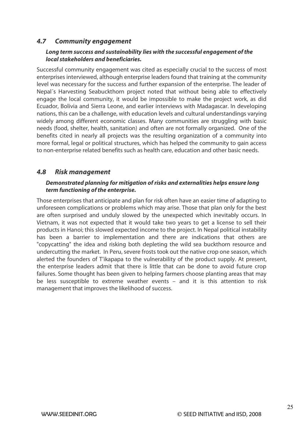### **4.7 Community engagement**

#### **Long term success and sustainability lies with the successful engagement of the local stakeholders and beneficiaries.**

Successful community engagement was cited as especially crucial to the success of most enterprises interviewed, although enterprise leaders found that training at the community level was necessary for the success and further expansion of the enterprise. The leader of Nepal´s Harvesting Seabuckthorn project noted that without being able to effectively engage the local community, it would be impossible to make the project work, as did Ecuador, Bolivia and Sierra Leone, and earlier interviews with Madagascar. In developing nations, this can be a challenge, with education levels and cultural understandings varying widely among different economic classes. Many communities are struggling with basic needs (food, shelter, health, sanitation) and often are not formally organized. One of the benefits cited in nearly all projects was the resulting organization of a community into more formal, legal or political structures, which has helped the community to gain access to non-enterprise related benefits such as health care, education and other basic needs.

### **4.8 Risk management**

#### **Demonstrated planning for mitigation of risks and externalities helps ensure long term functioning of the enterprise.**

Those enterprises that anticipate and plan for risk often have an easier time of adapting to unforeseen complications or problems which may arise. Those that plan only for the best are often surprised and unduly slowed by the unexpected which inevitably occurs. In Vietnam, it was not expected that it would take two years to get a license to sell their products in Hanoi; this slowed expected income to the project. In Nepal political instability has been a barrier to implementation and there are indications that others are "copycatting" the idea and risking both depleting the wild sea buckthorn resource and undercutting the market. In Peru, severe frosts took out the native crop one season, which alerted the founders of T'ikapapa to the vulnerability of the product supply. At present, the enterprise leaders admit that there is little that can be done to avoid future crop failures. Some thought has been given to helping farmers choose planting areas that may be less susceptible to extreme weather events – and it is this attention to risk management that improves the likelihood of success.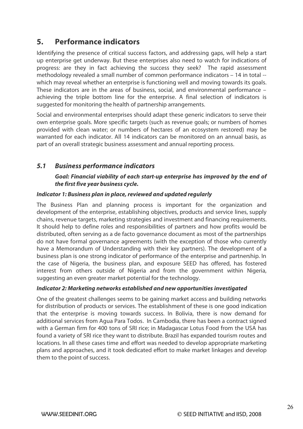# **5. Performance indicators**

Identifying the presence of critical success factors, and addressing gaps, will help a start up enterprise get underway. But these enterprises also need to watch for indications of progress: are they in fact achieving the success they seek? The rapid assessment methodology revealed a small number of common performance indicators – 14 in total - which may reveal whether an enterprise is functioning well and moving towards its goals. These indicators are in the areas of business, social, and environmental performance – achieving the triple bottom line for the enterprise. A final selection of indicators is suggested for monitoring the health of partnership arrangements.

Social and environmental enterprises should adapt these generic indicators to serve their own enterprise goals. More specific targets (such as revenue goals; or numbers of homes provided with clean water; or numbers of hectares of an ecosystem restored) may be warranted for each indicator. All 14 indicators can be monitored on an annual basis, as part of an overall strategic business assessment and annual reporting process.

### **5.1 Business performance indicators**

#### **Goal: Financial viability of each start-up enterprise has improved by the end of the first five year business cycle.**

#### **Indicator 1: Business plan in place, reviewed and updated regularly**

The Business Plan and planning process is important for the organization and development of the enterprise, establishing objectives, products and service lines, supply chains, revenue targets, marketing strategies and investment and financing requirements. It should help to define roles and responsibilities of partners and how profits would be distributed, often serving as a de facto governance document as most of the partnerships do not have formal governance agreements (with the exception of those who currently have a Memorandum of Understanding with their key partners). The development of a business plan is one strong indicator of performance of the enterprise and partnership. In the case of Nigeria, the business plan, and exposure SEED has offered, has fostered interest from others outside of Nigeria and from the government within Nigeria, suggesting an even greater market potential for the technology.

#### **Indicator 2: Marketing networks established and new opportunities investigated**

One of the greatest challenges seems to be gaining market access and building networks for distribution of products or services. The establishment of these is one good indication that the enterprise is moving towards success. In Bolivia, there is now demand for additional services from Agua Para Todos. In Cambodia, there has been a contract signed with a German firm for 400 tons of SRI rice; in Madagascar Lotus Food from the USA has found a variety of SRI rice they want to distribute. Brazil has expanded tourism routes and locations. In all these cases time and effort was needed to develop appropriate marketing plans and approaches, and it took dedicated effort to make market linkages and develop them to the point of success.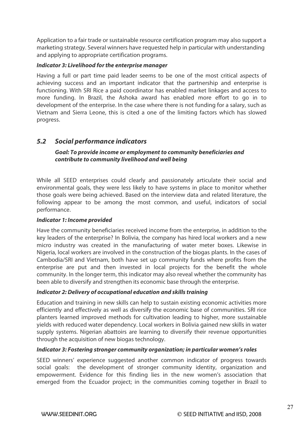Application to a fair trade or sustainable resource certification program may also support a marketing strategy. Several winners have requested help in particular with understanding and applying to appropriate certification programs.

#### **Indicator 3: Livelihood for the enterprise manager**

Having a full or part time paid leader seems to be one of the most critical aspects of achieving success and an important indicator that the partnership and enterprise is functioning. With SRI Rice a paid coordinator has enabled market linkages and access to more funding. In Brazil, the Ashoka award has enabled more effort to go in to development of the enterprise. In the case where there is not funding for a salary, such as Vietnam and Sierra Leone, this is cited a one of the limiting factors which has slowed progress.

### **5.2 Social performance indicators**

#### **Goal: To provide income or employment to community beneficiaries and contribute to community livelihood and well being**

While all SEED enterprises could clearly and passionately articulate their social and environmental goals, they were less likely to have systems in place to monitor whether those goals were being achieved. Based on the interview data and related literature, the following appear to be among the most common, and useful, indicators of social performance.

#### **Indicator 1: Income provided**

Have the community beneficiaries received income from the enterprise, in addition to the key leaders of the enterprise? In Bolivia, the company has hired local workers and a new micro industry was created in the manufacturing of water meter boxes. Likewise in Nigeria, local workers are involved in the construction of the biogas plants. In the cases of Cambodia/SRI and Vietnam, both have set up community funds where profits from the enterprise are put and then invested in local projects for the benefit the whole community. In the longer term, this indicator may also reveal whether the community has been able to diversify and strengthen its economic base through the enterprise.

#### **Indicator 2: Delivery of occupational education and skills training**

Education and training in new skills can help to sustain existing economic activities more efficiently and effectively as well as diversify the economic base of communities. SRI rice planters learned improved methods for cultivation leading to higher, more sustainable yields with reduced water dependency. Local workers in Bolivia gained new skills in water supply systems. Nigerian abattoirs are learning to diversify their revenue opportunities through the acquisition of new biogas technology.

#### **Indicator 3: Fostering stronger community organization; in particular women's roles**

SEED winners' experience suggested another common indicator of progress towards social goals: the development of stronger community identity, organization and empowerment. Evidence for this finding lies in the new women's association that emerged from the Ecuador project; in the communities coming together in Brazil to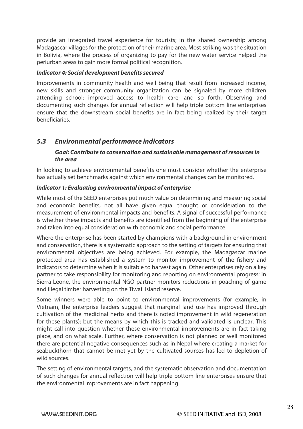provide an integrated travel experience for tourists; in the shared ownership among Madagascar villages for the protection of their marine area. Most striking was the situation in Bolivia, where the process of organizing to pay for the new water service helped the periurban areas to gain more formal political recognition.

#### **Indicator 4: Social development benefits secured**

Improvements in community health and well being that result from increased income, new skills and stronger community organization can be signaled by more children attending school; improved access to health care; and so forth. Observing and documenting such changes for annual reflection will help triple bottom line enterprises ensure that the downstream social benefits are in fact being realized by their target beneficiaries.

## **5.3 Environmental performance indicators**

#### **Goal: Contribute to conservation and sustainable management of resources in the area**

In looking to achieve environmental benefits one must consider whether the enterprise has actually set benchmarks against which environmental changes can be monitored.

#### **Indicator 1: Evaluating environmental impact of enterprise**

While most of the SEED enterprises put much value on determining and measuring social and economic benefits, not all have given equal thought or consideration to the measurement of environmental impacts and benefits. A signal of successful performance is whether these impacts and benefits are identified from the beginning of the enterprise and taken into equal consideration with economic and social performance.

Where the enterprise has been started by champions with a background in environment and conservation, there is a systematic approach to the setting of targets for ensuring that environmental objectives are being achieved. For example, the Madagascar marine protected area has established a system to monitor improvement of the fishery and indicators to determine when it is suitable to harvest again. Other enterprises rely on a key partner to take responsibility for monitoring and reporting on environmental progress: in Sierra Leone, the environmental NGO partner monitors reductions in poaching of game and illegal timber harvesting on the Tiwaii Island reserve.

Some winners were able to point to environmental improvements (for example, in Vietnam, the enterprise leaders suggest that marginal land use has improved through cultivation of the medicinal herbs and there is noted improvement in wild regeneration for these plants); but the means by which this is tracked and validated is unclear. This might call into question whether these environmental improvements are in fact taking place, and on what scale. Further, where conservation is not planned or well monitored there are potential negative consequences such as in Nepal where creating a market for seabuckthorn that cannot be met yet by the cultivated sources has led to depletion of wild sources.

The setting of environmental targets, and the systematic observation and documentation of such changes for annual reflection will help triple bottom line enterprises ensure that the environmental improvements are in fact happening.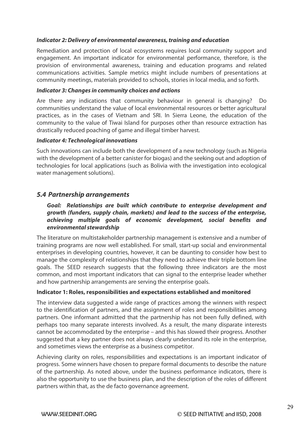#### **Indicator 2: Delivery of environmental awareness, training and education**

Remediation and protection of local ecosystems requires local community support and engagement. An important indicator for environmental performance, therefore, is the provision of environmental awareness, training and education programs and related communications activities. Sample metrics might include numbers of presentations at community meetings, materials provided to schools, stories in local media, and so forth.

#### **Indicator 3: Changes in community choices and actions**

Are there any indications that community behaviour in general is changing? Do communities understand the value of local environmental resources or better agricultural practices, as in the cases of Vietnam and SRI. In Sierra Leone, the education of the community to the value of Tiwai Island for purposes other than resource extraction has drastically reduced poaching of game and illegal timber harvest.

#### **Indicator 4: Technological innovations**

Such innovations can include both the development of a new technology (such as Nigeria with the development of a better canister for biogas) and the seeking out and adoption of technologies for local applications (such as Bolivia with the investigation into ecological water management solutions).

#### **5.4 Partnership arrangements**

#### **Goal: Relationships are built which contribute to enterprise development and growth (funders, supply chain, markets) and lead to the success of the enterprise, achieving multiple goals of economic development, social benefits and environmental stewardship**

The literature on multistakeholder partnership management is extensive and a number of training programs are now well established. For small, start-up social and environmental enterprises in developing countries, however, it can be daunting to consider how best to manage the complexity of relationships that they need to achieve their triple bottom line goals. The SEED research suggests that the following three indicators are the most common, and most important indicators that can signal to the enterprise leader whether and how partnership arrangements are serving the enterprise goals.

#### **Indicator 1: Roles, responsibilities and expectations established and monitored**

The interview data suggested a wide range of practices among the winners with respect to the identification of partners, and the assignment of roles and responsibilities among partners. One informant admitted that the partnership has not been fully defined, with perhaps too many separate interests involved. As a result, the many disparate interests cannot be accommodated by the enterprise – and this has slowed their progress. Another suggested that a key partner does not always clearly understand its role in the enterprise, and sometimes views the enterprise as a business competitor.

Achieving clarity on roles, responsibilities and expectations is an important indicator of progress. Some winners have chosen to prepare formal documents to describe the nature of the partnership. As noted above, under the business performance indicators, there is also the opportunity to use the business plan, and the description of the roles of different partners within that, as the de facto governance agreement.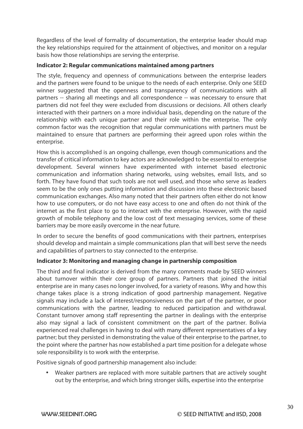Regardless of the level of formality of documentation, the enterprise leader should map the key relationships required for the attainment of objectives, and monitor on a regular basis how those relationships are serving the enterprise.

#### **Indicator 2: Regular communications maintained among partners**

The style, frequency and openness of communications between the enterprise leaders and the partners were found to be unique to the needs of each enterprise. Only one SEED winner suggested that the openness and transparency of communications with all partners -- sharing all meetings and all correspondence -- was necessary to ensure that partners did not feel they were excluded from discussions or decisions. All others clearly interacted with their partners on a more individual basis, depending on the nature of the relationship with each unique partner and their role within the enterprise. The only common factor was the recognition that regular communications with partners must be maintained to ensure that partners are performing their agreed upon roles within the enterprise.

How this is accomplished is an ongoing challenge, even though communications and the transfer of critical information to key actors are acknowledged to be essential to enterprise development. Several winners have experimented with internet based electronic communication and information sharing networks, using websites, email lists, and so forth. They have found that such tools are not well used, and those who serve as leaders seem to be the only ones putting information and discussion into these electronic based communication exchanges. Also many noted that their partners often either do not know how to use computers, or do not have easy access to one and often do not think of the internet as the first place to go to interact with the enterprise. However, with the rapid growth of mobile telephony and the low cost of text messaging services, some of these barriers may be more easily overcome in the near future.

In order to secure the benefits of good communications with their partners, enterprises should develop and maintain a simple communications plan that will best serve the needs and capabilities of partners to stay connected to the enterprise.

#### **Indicator 3: Monitoring and managing change in partnership composition**

The third and final indicator is derived from the many comments made by SEED winners about turnover within their core group of partners. Partners that joined the initial enterprise are in many cases no longer involved, for a variety of reasons. Why and how this change takes place is a strong indication of good partnership management. Negative signals may include a lack of interest/responsiveness on the part of the partner, or poor communications with the partner, leading to reduced participation and withdrawal. Constant turnover among staff representing the partner in dealings with the enterprise also may signal a lack of consistent commitment on the part of the partner. Bolivia experienced real challenges in having to deal with many different representatives of a key partner; but they persisted in demonstrating the value of their enterprise to the partner, to the point where the partner has now established a part time position for a delegate whose sole responsibility is to work with the enterprise.

Positive signals of good partnership management also include:

• Weaker partners are replaced with more suitable partners that are actively sought out by the enterprise, and which bring stronger skills, expertise into the enterprise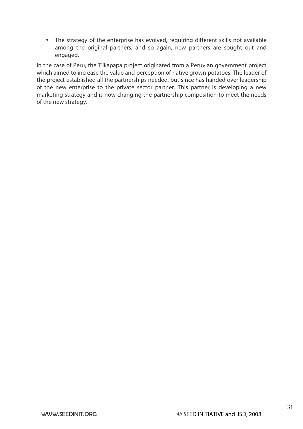• The strategy of the enterprise has evolved, requiring different skills not available among the original partners, and so again, new partners are sought out and engaged.

In the case of Peru, the T'íkapapa project originated from a Peruvian government project which aimed to increase the value and perception of native grown potatoes. The leader of the project established all the partnerships needed, but since has handed over leadership of the new enterprise to the private sector partner. This partner is developing a new marketing strategy and is now changing the partnership composition to meet the needs of the new strategy.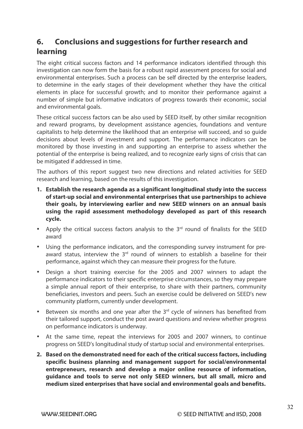# **6. Conclusions and suggestions for further research and learning**

The eight critical success factors and 14 performance indicators identified through this investigation can now form the basis for a robust rapid assessment process for social and environmental enterprises. Such a process can be self directed by the enterprise leaders, to determine in the early stages of their development whether they have the critical elements in place for successful growth; and to monitor their performance against a number of simple but informative indicators of progress towards their economic, social and environmental goals.

These critical success factors can be also used by SEED itself, by other similar recognition and reward programs, by development assistance agencies, foundations and venture capitalists to help determine the likelihood that an enterprise will succeed, and so guide decisions about levels of investment and support. The performance indicators can be monitored by those investing in and supporting an enterprise to assess whether the potential of the enterprise is being realized, and to recognize early signs of crisis that can be mitigated if addressed in time.

The authors of this report suggest two new directions and related activities for SEED research and learning, based on the results of this investigation.

- **1. Establish the research agenda as a significant longitudinal study into the success of start-up social and environmental enterprises that use partnerships to achieve their goals, by interviewing earlier and new SEED winners on an annual basis using the rapid assessment methodology developed as part of this research cycle.**
- Apply the critical success factors analysis to the  $3<sup>rd</sup>$  round of finalists for the SEED award
- Using the performance indicators, and the corresponding survey instrument for preaward status, interview the  $3<sup>rd</sup>$  round of winners to establish a baseline for their performance, against which they can measure their progress for the future.
- Design a short training exercise for the 2005 and 2007 winners to adapt the performance indicators to their specific enterprise circumstances, so they may prepare a simple annual report of their enterprise, to share with their partners, community beneficiaries, investors and peers. Such an exercise could be delivered on SEED's new community platform, currently under development.
- Between six months and one year after the 3<sup>rd</sup> cycle of winners has benefited from their tailored support, conduct the post award questions and review whether progress on performance indicators is underway.
- At the same time, repeat the interviews for 2005 and 2007 winners, to continue progress on SEED's longitudinal study of startup social and environmental enterprises.
- **2. Based on the demonstrated need for each of the critical success factors, including specific business planning and management support for social/environmental entrepreneurs, research and develop a major online resource of information, guidance and tools to serve not only SEED winners, but all small, micro and medium sized enterprises that have social and environmental goals and benefits.**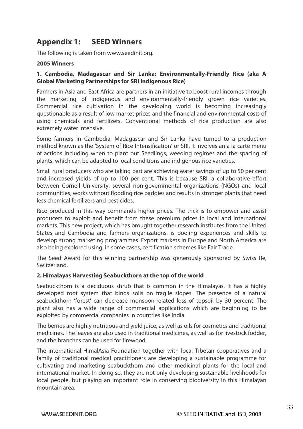# **Appendix 1: SEED Winners**

The following is taken from www.seedinit.org.

#### **2005 Winners**

#### **1. Cambodia, Madagascar and Sir Lanka: Environmentally-Friendly Rice (aka A Global Marketing Partnerships for SRI Indigenous Rice)**

Farmers in Asia and East Africa are partners in an initiative to boost rural incomes through the marketing of indigenous and environmentally-friendly grown rice varieties. Commercial rice cultivation in the developing world is becoming increasingly questionable as a result of low market prices and the financial and environmental costs of using chemicals and fertilizers. Conventional methods of rice production are also extremely water intensive.

Some farmers in Cambodia, Madagascar and Sir Lanka have turned to a production method known as the 'System of Rice Intensification' or SRI. It involves an a la carte menu of actions including when to plant out Seedlings, weeding regimes and the spacing of plants, which can be adapted to local conditions and indigenous rice varieties.

Small rural producers who are taking part are achieving water savings of up to 50 per cent and increased yields of up to 100 per cent. This is because SRI, a collaborative effort between Cornell University, several non-governmental organizations (NGOs) and local communities, works without flooding rice paddies and results in stronger plants that need less chemical fertilizers and pesticides.

Rice produced in this way commands higher prices. The trick is to empower and assist producers to exploit and benefit from these premium prices in local and international markets. This new project, which has brought together research institutes from the United States and Cambodia and farmers organizations, is pooling experiences and skills to develop strong marketing programmes. Export markets in Europe and North America are also being explored using, in some cases, certification schemes like Fair Trade.

The Seed Award for this winning partnership was generously sponsored by Swiss Re, Switzerland.

#### **2. Himalayas Harvesting Seabuckthorn at the top of the world**

Seabuckthorn is a deciduous shrub that is common in the Himalayas. It has a highly developed root system that binds soils on fragile slopes. The presence of a natural seabuckthorn 'forest' can decrease monsoon-related loss of topsoil by 30 percent. The plant also has a wide range of commercial applications which are beginning to be exploited by commercial companies in countries like India.

The berries are highly nutritious and yield juice, as well as oils for cosmetics and traditional medicines. The leaves are also used in traditional medicines, as well as for livestock fodder, and the branches can be used for firewood.

The international HimalAsia Foundation together with local Tibetan cooperatives and a family of traditional medical practitioners are developing a sustainable programme for cultivating and marketing seabuckthorn and other medicinal plants for the local and international market. In doing so, they are not only developing sustainable livelihoods for local people, but playing an important role in conserving biodiversity in this Himalayan mountain area.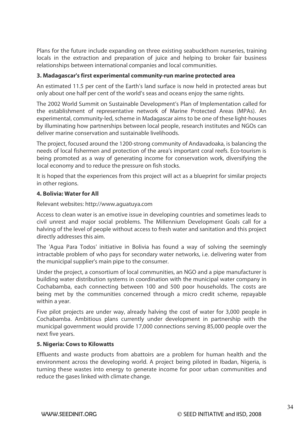Plans for the future include expanding on three existing seabuckthorn nurseries, training locals in the extraction and preparation of juice and helping to broker fair business relationships between international companies and local communities.

#### **3. Madagascar's first experimental community-run marine protected area**

An estimated 11.5 per cent of the Earth's land surface is now held in protected areas but only about one half per cent of the world's seas and oceans enjoy the same rights.

The 2002 World Summit on Sustainable Development's Plan of Implementation called for the establishment of representative network of Marine Protected Areas (MPAs). An experimental, community-led, scheme in Madagascar aims to be one of these light-houses by illuminating how partnerships between local people, research institutes and NGOs can deliver marine conservation and sustainable livelihoods.

The project, focused around the 1200-strong community of Andavadoaka, is balancing the needs of local fishermen and protection of the area's important coral reefs. Eco-tourism is being promoted as a way of generating income for conservation work, diversifying the local economy and to reduce the pressure on fish stocks.

It is hoped that the experiences from this project will act as a blueprint for similar projects in other regions.

#### **4. Bolivia: Water for All**

Relevant websites: http://www.aguatuya.com

Access to clean water is an emotive issue in developing countries and sometimes leads to civil unrest and major social problems. The Millennium Development Goals call for a halving of the level of people without access to fresh water and sanitation and this project directly addresses this aim.

The 'Agua Para Todos' initiative in Bolivia has found a way of solving the seemingly intractable problem of who pays for secondary water networks, i.e. delivering water from the municipal supplier's main pipe to the consumer.

Under the project, a consortium of local communities, an NGO and a pipe manufacturer is building water distribution systems in coordination with the municipal water company in Cochabamba, each connecting between 100 and 500 poor households. The costs are being met by the communities concerned through a micro credit scheme, repayable within a year.

Five pilot projects are under way, already halving the cost of water for 3,000 people in Cochabamba. Ambitious plans currently under development in partnership with the municipal government would provide 17,000 connections serving 85,000 people over the next five years.

#### **5. Nigeria: Cows to Kilowatts**

Effluents and waste products from abattoirs are a problem for human health and the environment across the developing world. A project being piloted in Ibadan, Nigeria, is turning these wastes into energy to generate income for poor urban communities and reduce the gases linked with climate change.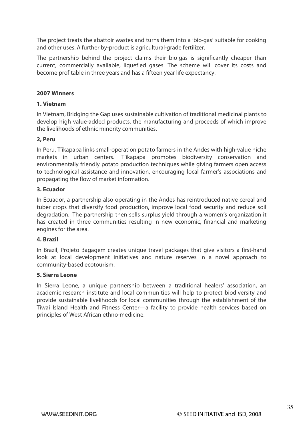The project treats the abattoir wastes and turns them into a 'bio-gas' suitable for cooking and other uses. A further by-product is agricultural-grade fertilizer.

The partnership behind the project claims their bio-gas is significantly cheaper than current, commercially available, liquefied gases. The scheme will cover its costs and become profitable in three years and has a fifteen year life expectancy.

#### **2007 Winners**

#### **1. Vietnam**

In Vietnam, Bridging the Gap uses sustainable cultivation of traditional medicinal plants to develop high value-added products, the manufacturing and proceeds of which improve the livelihoods of ethnic minority communities.

#### **2, Peru**

In Peru, T'ikapapa links small-operation potato farmers in the Andes with high-value niche markets in urban centers. T'ikapapa promotes biodiversity conservation and environmentally friendly potato production techniques while giving farmers open access to technological assistance and innovation, encouraging local farmer's associations and propagating the flow of market information.

#### **3. Ecuador**

In Ecuador, a partnership also operating in the Andes has reintroduced native cereal and tuber crops that diversify food production, improve local food security and reduce soil degradation. The partnership then sells surplus yield through a women's organization it has created in three communities resulting in new economic, financial and marketing engines for the area.

#### **4. Brazil**

In Brazil, Projeto Bagagem creates unique travel packages that give visitors a first-hand look at local development initiatives and nature reserves in a novel approach to community-based ecotourism.

#### **5. Sierra Leone**

In Sierra Leone, a unique partnership between a traditional healers' association, an academic research institute and local communities will help to protect biodiversity and provide sustainable livelihoods for local communities through the establishment of the Tiwai Island Health and Fitness Center—a facility to provide health services based on principles of West African ethno-medicine.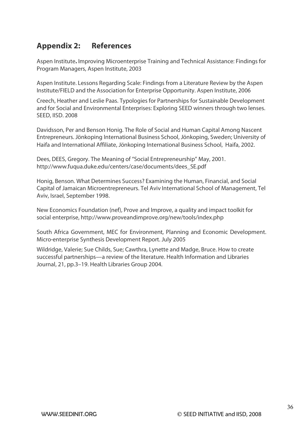# **Appendix 2: References**

Aspen Institute**.** Improving Microenterprise Training and Technical Assistance: Findings for Program Managers, Aspen Institute, 2003

Aspen Institute. Lessons Regarding Scale: Findings from a Literature Review by the Aspen Institute/FIELD and the Association for Enterprise Opportunity. Aspen Institute, 2006

Creech, Heather and Leslie Paas. Typologies for Partnerships for Sustainable Development and for Social and Environmental Enterprises: Exploring SEED winners through two lenses. SEED, IISD. 2008

Davidsson, Per and Benson Honig. The Role of Social and Human Capital Among Nascent Entrepreneurs. Jönkoping International Business School, Jönkoping, Sweden; University of Haifa and International Affiliate, Jönkoping International Business School, Haifa, 2002.

Dees, DEES, Gregory. The Meaning of "Social Entrepreneurship" May, 2001. http://www.fuqua.duke.edu/centers/case/documents/dees\_SE.pdf

Honig, Benson. What Determines Success? Examining the Human, Financial, and Social Capital of Jamaican Microentrepreneurs. Tel Aviv International School of Management, Tel Aviv, Israel, September 1998.

New Economics Foundation (nef), Prove and Improve, a quality and impact toolkit for social enterprise, http://www.proveandimprove.org/new/tools/index.php

South Africa Government, MEC for Environment, Planning and Economic Development. Micro-enterprise Synthesis Development Report. July 2005

Wildridge, Valerie; Sue Childs, Sue; Cawthra, Lynette and Madge, Bruce. How to create successful partnerships—a review of the literature. Health Information and Libraries Journal, 21, pp.3–19. Health Libraries Group 2004.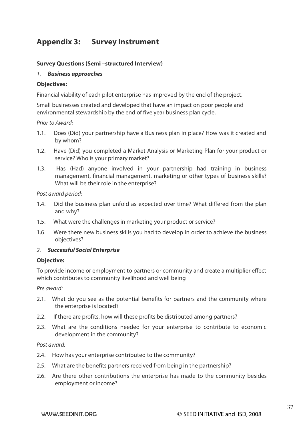# **Appendix 3: Survey Instrument**

#### **Survey Questions (Semi –structured Interview)**

#### 1. **Business approaches**

#### **Objectives:**

Financial viability of each pilot enterprise has improved by the end of the project.

Small businesses created and developed that have an impact on poor people and environmental stewardship by the end of five year business plan cycle.

#### Prior to Award:

- 1.1. Does (Did) your partnership have a Business plan in place? How was it created and by whom?
- 1.2. Have (Did) you completed a Market Analysis or Marketing Plan for your product or service? Who is your primary market?
- 1.3. Has (Had) anyone involved in your partnership had training in business management, financial management, marketing or other types of business skills? What will be their role in the enterprise?

Post award period:

- 1.4. Did the business plan unfold as expected over time? What differed from the plan and why?
- 1.5. What were the challenges in marketing your product or service?
- 1.6. Were there new business skills you had to develop in order to achieve the business objectives?

#### 2. **Successful Social Enterprise**

#### **Objective:**

To provide income or employment to partners or community and create a multiplier effect which contributes to community livelihood and well being

Pre award:

- 2.1. What do you see as the potential benefits for partners and the community where the enterprise is located?
- 2.2. If there are profits, how will these profits be distributed among partners?
- 2.3. What are the conditions needed for your enterprise to contribute to economic development in the community?

#### Post award:

- 2.4. How has your enterprise contributed to the community?
- 2.5. What are the benefits partners received from being in the partnership?
- 2.6. Are there other contributions the enterprise has made to the community besides employment or income?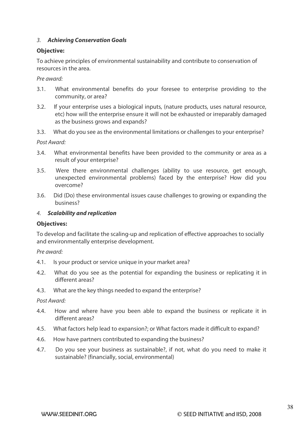#### 3. **Achieving Conservation Goals**

#### **Objective:**

To achieve principles of environmental sustainability and contribute to conservation of resources in the area.

Pre award:

- 3.1. What environmental benefits do your foresee to enterprise providing to the community, or area?
- 3.2. If your enterprise uses a biological inputs, (nature products, uses natural resource, etc) how will the enterprise ensure it will not be exhausted or irreparably damaged as the business grows and expands?
- 3.3. What do you see as the environmental limitations or challenges to your enterprise?

Post Award:

- 3.4. What environmental benefits have been provided to the community or area as a result of your enterprise?
- 3.5. Were there environmental challenges (ability to use resource, get enough, unexpected environmental problems) faced by the enterprise? How did you overcome?
- 3.6. Did (Do) these environmental issues cause challenges to growing or expanding the business?

#### 4. **Scalability and replication**

#### **Objectives:**

To develop and facilitate the scaling-up and replication of effective approaches to socially and environmentally enterprise development.

Pre award:

- 4.1. Is your product or service unique in your market area?
- 4.2. What do you see as the potential for expanding the business or replicating it in different areas?
- 4.3. What are the key things needed to expand the enterprise?

#### Post Award:

- 4.4. How and where have you been able to expand the business or replicate it in different areas?
- 4.5. What factors help lead to expansion?; or What factors made it difficult to expand?
- 4.6. How have partners contributed to expanding the business?
- 4.7. Do you see your business as sustainable?, if not, what do you need to make it sustainable? (financially, social, environmental)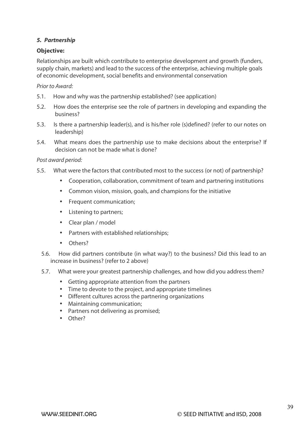### **5. Partnership**

#### **Objective:**

Relationships are built which contribute to enterprise development and growth (funders, supply chain, markets) and lead to the success of the enterprise, achieving multiple goals of economic development, social benefits and environmental conservation

#### Prior to Award:

- 5.1. How and why was the partnership established? (see application)
- 5.2. How does the enterprise see the role of partners in developing and expanding the business?
- 5.3. Is there a partnership leader(s), and is his/her role (s)defined? (refer to our notes on leadership)
- 5.4. What means does the partnership use to make decisions about the enterprise? If decision can not be made what is done?

#### Post award period:

- 5.5. What were the factors that contributed most to the success (or not) of partnership?
	- Cooperation, collaboration, commitment of team and partnering institutions
	- Common vision, mission, goals, and champions for the initiative
	- Frequent communication;
	- Listening to partners;
	- Clear plan / model
	- Partners with established relationships;
	- Others?
	- 5.6. How did partners contribute (in what way?) to the business? Did this lead to an increase in business? (refer to 2 above)
	- 5.7. What were your greatest partnership challenges, and how did you address them?
		- Getting appropriate attention from the partners
		- Time to devote to the project, and appropriate timelines
		- Different cultures across the partnering organizations
		- Maintaining communication;
		- Partners not delivering as promised;
		- Other?